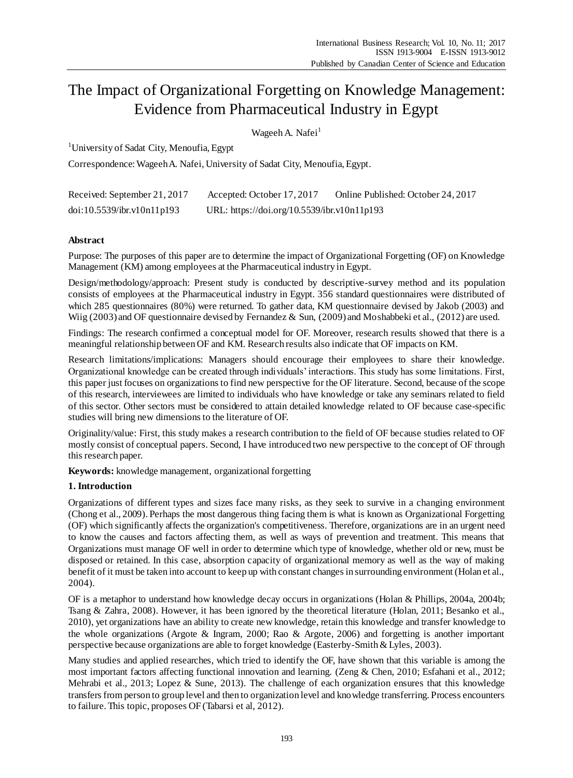# The Impact of Organizational Forgetting on Knowledge Management: Evidence from Pharmaceutical Industry in Egypt

Wageeh A. Nafei<sup>1</sup>

<sup>1</sup>University of Sadat City, Menoufia, Egypt

Correspondence:Wageeh A. Nafei, University of Sadat City, Menoufia, Egypt.

| Received: September 21, 2017 | Accepted: October 17, 2017                  | Online Published: October 24, 2017 |
|------------------------------|---------------------------------------------|------------------------------------|
| doi:10.5539/ibr.v10n11p193   | URL: https://doi.org/10.5539/ibr.v10n11p193 |                                    |

# **Abstract**

Purpose: The purposes of this paper are to determine the impact of Organizational Forgetting (OF) on Knowledge Management (KM) among employees at the Pharmaceutical industry in Egypt.

Design/methodology/approach: Present study is conducted by descriptive-survey method and its population consists of employees at the Pharmaceutical industry in Egypt. 356 standard questionnaires were distributed of which 285 questionnaires (80%) were returned. To gather data, KM questionnaire devised by Jakob (2003) and Wiig (2003) and OF questionnaire devised by Fernandez & Sun, (2009) and Moshabbeki et al., (2012) are used.

Findings: The research confirmed a conceptual model for OF. Moreover, research results showed that there is a meaningful relationship between OF and KM. Research results also indicate that OF impacts on KM.

Research limitations/implications: Managers should encourage their employees to share their knowledge. Organizational knowledge can be created through individuals' interactions. This study has some limitations. First, this paper just focuses on organizations to find new perspective for the OF literature. Second, because of the scope of this research, interviewees are limited to individuals who have knowledge or take any seminars related to field of this sector. Other sectors must be considered to attain detailed knowledge related to OF because case-specific studies will bring new dimensions to the literature of OF.

Originality/value: First, this study makes a research contribution to the field of OF because studies related to OF mostly consist of conceptual papers. Second, I have introduced two new perspective to the concept of OF through this research paper.

**Keywords:** knowledge management, organizational forgetting

# **1. Introduction**

Organizations of different types and sizes face many risks, as they seek to survive in a changing environment (Chong et al., 2009). Perhaps the most dangerous thing facing them is what is known as Organizational Forgetting (OF) which significantly affects the organization's competitiveness. Therefore, organizations are in an urgent need to know the causes and factors affecting them, as well as ways of prevention and treatment. This means that Organizations must manage OF well in order to determine which type of knowledge, whether old or new, must be disposed or retained. In this case, absorption capacity of organizational memory as well as the way of making benefit of it must be taken into account to keep up with constant changes in surrounding environment (Holan et al., 2004).

OF is a metaphor to understand how knowledge decay occurs in organizations (Holan & Phillips, 2004a, 2004b; Tsang & Zahra, 2008). However, it has been ignored by the theoretical literature (Holan, 2011; Besanko et al., 2010), yet organizations have an ability to create new knowledge, retain this knowledge and transfer knowledge to the whole organizations (Argote & Ingram, 2000; Rao & Argote, 2006) and forgetting is another important perspective because organizations are able to forget knowledge (Easterby-Smith & Lyles, 2003).

Many studies and applied researches, which tried to identify the OF, have shown that this variable is among the most important factors affecting functional innovation and learning. (Zeng & Chen, 2010; Esfahani et al., 2012; Mehrabi et al., 2013; Lopez & Sune, 2013). The challenge of each organization ensures that this knowledge transfers from person to group level and then to organization level and knowledge transferring. Process encounters to failure. This topic, proposes OF (Tabarsi et al, 2012).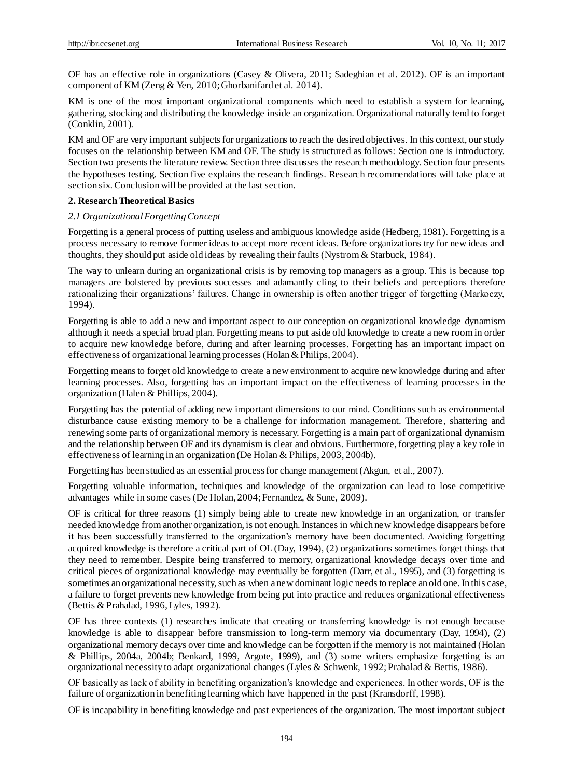OF has an effective role in organizations (Casey & Olivera, 2011; Sadeghian et al. 2012). OF is an important component of KM (Zeng & Yen, 2010; Ghorbanifard et al. 2014).

KM is one of the most important organizational components which need to establish a system for learning, gathering, stocking and distributing the knowledge inside an organization. Organizational naturally tend to forget (Conklin, 2001).

KM and OF are very important subjects for organizations to reach the desired objectives. In this context, our study focuses on the relationship between KM and OF. The study is structured as follows: Section one is introductory. Section two presents the literature review. Section three discusses the research methodology. Section four presents the hypotheses testing. Section five explains the research findings. Research recommendations will take place at section six. Conclusion will be provided at the last section.

#### **2. Research Theoretical Basics**

#### *2.1 Organizational Forgetting Concept*

Forgetting is a general process of putting useless and ambiguous knowledge aside (Hedberg, 1981). Forgetting is a process necessary to remove former ideas to accept more recent ideas. Before organizations try for new ideas and thoughts, they should put aside old ideas by revealing their faults (Nystrom & Starbuck, 1984).

The way to unlearn during an organizational crisis is by removing top managers as a group. This is because top managers are bolstered by previous successes and adamantly cling to their beliefs and perceptions therefore rationalizing their organizations' failures. Change in ownership is often another trigger of forgetting (Markoczy, 1994).

Forgetting is able to add a new and important aspect to our conception on organizational knowledge dynamism although it needs a special broad plan. Forgetting means to put aside old knowledge to create a new room in order to acquire new knowledge before, during and after learning processes. Forgetting has an important impact on effectiveness of organizational learning processes (Holan & Philips, 2004).

Forgetting means to forget old knowledge to create a new environment to acquire new knowledge during and after learning processes. Also, forgetting has an important impact on the effectiveness of learning processes in the organization (Halen & Phillips, 2004).

Forgetting has the potential of adding new important dimensions to our mind. Conditions such as environmental disturbance cause existing memory to be a challenge for information management. Therefore, shattering and renewing some parts of organizational memory is necessary. Forgetting is a main part of organizational dynamism and the relationship between OF and its dynamism is clear and obvious. Furthermore, forgetting play a key role in effectiveness of learning in an organization (De Holan & Philips, 2003, 2004b).

Forgetting has been studied as an essential process for change management (Akgun, et al., 2007).

Forgetting valuable information, techniques and knowledge of the organization can lead to lose competitive advantages while in some cases (De Holan, 2004; Fernandez, & Sune, 2009).

OF is critical for three reasons (1) simply being able to create new knowledge in an organization, or transfer needed knowledge from another organization, is not enough. Instances in which new knowledge disappears before it has been successfully transferred to the organization's memory have been documented. Avoiding forgetting acquired knowledge is therefore a critical part of OL (Day, 1994), (2) organizations sometimes forget things that they need to remember. Despite being transferred to memory, organizational knowledge decays over time and critical pieces of organizational knowledge may eventually be forgotten (Darr, et al., 1995), and (3) forgetting is sometimes an organizational necessity, such as when a new dominant logic needs to replace an old one. In this case, a failure to forget prevents new knowledge from being put into practice and reduces organizational effectiveness (Bettis & Prahalad, 1996, Lyles, 1992).

OF has three contexts (1) researches indicate that creating or transferring knowledge is not enough because knowledge is able to disappear before transmission to long-term memory via documentary (Day, 1994), (2) organizational memory decays over time and knowledge can be forgotten if the memory is not maintained (Holan & Phillips, 2004a, 2004b; Benkard, 1999, Argote, 1999), and (3) some writers emphasize forgetting is an organizational necessity to adapt organizational changes (Lyles & Schwenk, 1992; Prahalad & Bettis, 1986).

OF basically as lack of ability in benefiting organization's knowledge and experiences. In other words, OF is the failure of organization in benefiting learning which have happened in the past (Kransdorff, 1998).

OF is incapability in benefiting knowledge and past experiences of the organization. The most important subject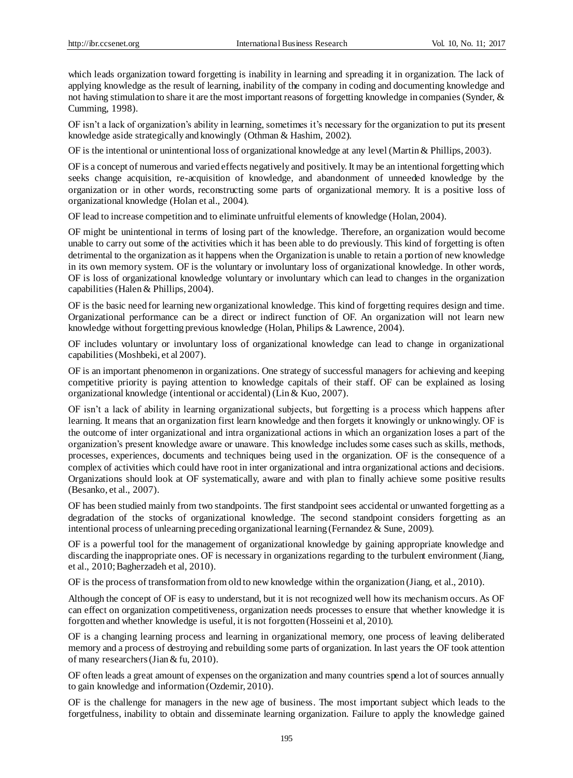which leads organization toward forgetting is inability in learning and spreading it in organization. The lack of applying knowledge as the result of learning, inability of the company in coding and documenting knowledge and not having stimulation to share it are the most important reasons of forgetting knowledge in companies (Synder, & Cumming, 1998).

OF isn't a lack of organization's ability in learning, sometimes it's necessary for the organization to put its present knowledge aside strategically and knowingly (Othman & Hashim, 2002).

OF is the intentional or unintentional loss of organizational knowledge at any level (Martin & Phillips, 2003).

OF is a concept of numerous and varied effects negatively and positively. It may be an intentional forgetting which seeks change acquisition, re-acquisition of knowledge, and abandonment of unneeded knowledge by the organization or in other words, reconstructing some parts of organizational memory. It is a positive loss of organizational knowledge (Holan et al., 2004).

OF lead to increase competition and to eliminate unfruitful elements of knowledge (Holan, 2004).

OF might be unintentional in terms of losing part of the knowledge. Therefore, an organization would become unable to carry out some of the activities which it has been able to do previously. This kind of forgetting is often detrimental to the organization as it happens when the Organization is unable to retain a portion of new knowledge in its own memory system. OF is the voluntary or involuntary loss of organizational knowledge. In other words, OF is loss of organizational knowledge voluntary or involuntary which can lead to changes in the organization capabilities (Halen & Phillips, 2004).

OF is the basic need for learning new organizational knowledge. This kind of forgetting requires design and time. Organizational performance can be a direct or indirect function of OF. An organization will not learn new knowledge without forgetting previous knowledge (Holan, Philips & Lawrence, 2004).

OF includes voluntary or involuntary loss of organizational knowledge can lead to change in organizational capabilities (Moshbeki, et al 2007).

OF is an important phenomenon in organizations. One strategy of successful managers for achieving and keeping competitive priority is paying attention to knowledge capitals of their staff. OF can be explained as losing organizational knowledge (intentional or accidental) (Lin & Kuo, 2007).

OF isn't a lack of ability in learning organizational subjects, but forgetting is a process which happens after learning. It means that an organization first learn knowledge and then forgets it knowingly or unknowingly. OF is the outcome of inter organizational and intra organizational actions in which an organization loses a part of the organization's present knowledge aware or unaware. This knowledge includes some cases such as skills, methods, processes, experiences, documents and techniques being used in the organization. OF is the consequence of a complex of activities which could have root in inter organizational and intra organizational actions and decisions. Organizations should look at OF systematically, aware and with plan to finally achieve some positive results (Besanko, et al., 2007).

OF has been studied mainly from two standpoints. The first standpoint sees accidental or unwanted forgetting as a degradation of the stocks of organizational knowledge. The second standpoint considers forgetting as an intentional process of unlearning preceding organizational learning (Fernandez & Sune, 2009).

OF is a powerful tool for the management of organizational knowledge by gaining appropriate knowledge and discarding the inappropriate ones. OF is necessary in organizations regarding to the turbulent environment (Jiang, et al., 2010; Bagherzadeh et al, 2010).

OF is the process of transformation from old to new knowledge within the organization (Jiang, et al., 2010).

Although the concept of OF is easy to understand, but it is not recognized well how its mechanism occurs. As OF can effect on organization competitiveness, organization needs processes to ensure that whether knowledge it is forgotten and whether knowledge is useful, it is not forgotten (Hosseini et al, 2010).

OF is a changing learning process and learning in organizational memory, one process of leaving deliberated memory and a process of destroying and rebuilding some parts of organization. In last years the OF took attention of many researchers (Jian & fu, 2010).

OF often leads a great amount of expenses on the organization and many countries spend a lot of sources annually to gain knowledge and information (Ozdemir, 2010).

OF is the challenge for managers in the new age of business. The most important subject which leads to the forgetfulness, inability to obtain and disseminate learning organization. Failure to apply the knowledge gained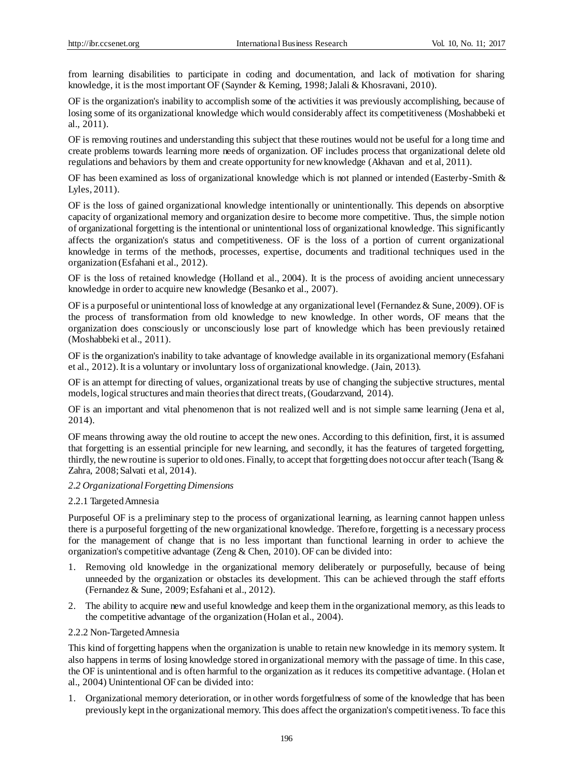from learning disabilities to participate in coding and documentation, and lack of motivation for sharing knowledge, it is the most important OF (Saynder & Keming, 1998; Jalali & Khosravani, 2010).

OF is the organization's inability to accomplish some of the activities it was previously accomplishing, because of losing some of its organizational knowledge which would considerably affect its competitiveness (Moshabbeki et al., 2011).

OF is removing routines and understanding this subject that these routines would not be useful for a long time and create problems towards learning more needs of organization. OF includes process that organizational delete old regulations and behaviors by them and create opportunity for new knowledge (Akhavan and et al, 2011).

OF has been examined as loss of organizational knowledge which is not planned or intended (Easterby-Smith  $\&$ Lyles, 2011).

OF is the loss of gained organizational knowledge intentionally or unintentionally. This depends on absorptive capacity of organizational memory and organization desire to become more competitive. Thus, the simple notion of organizational forgetting is the intentional or unintentional loss of organizational knowledge. This significantly affects the organization's status and competitiveness. OF is the loss of a portion of current organizational knowledge in terms of the methods, processes, expertise, documents and traditional techniques used in the organization (Esfahani et al., 2012).

OF is the loss of retained knowledge (Holland et al., 2004). It is the process of avoiding ancient unnecessary knowledge in order to acquire new knowledge (Besanko et al., 2007).

OF is a purposeful or unintentional loss of knowledge at any organizational level (Fernandez & Sune, 2009). OF is the process of transformation from old knowledge to new knowledge. In other words, OF means that the organization does consciously or unconsciously lose part of knowledge which has been previously retained (Moshabbeki et al., 2011).

OF is the organization's inability to take advantage of knowledge available in its organizational memory (Esfahani et al., 2012). It is a voluntary or involuntary loss of organizational knowledge. (Jain, 2013).

OF is an attempt for directing of values, organizational treats by use of changing the subjective structures, mental models, logical structures and main theories that direct treats, (Goudarzvand, 2014).

OF is an important and vital phenomenon that is not realized well and is not simple same learning (Jena et al, 2014).

OF means throwing away the old routine to accept the new ones. According to this definition, first, it is assumed that forgetting is an essential principle for new learning, and secondly, it has the features of targeted forgetting, thirdly, the new routine is superior to old ones. Finally, to accept that forgetting does not occur after teach (Tsang & Zahra, 2008; Salvati et al, 2014).

# *2.2 Organizational Forgetting Dimensions*

## 2.2.1 Targeted Amnesia

Purposeful OF is a preliminary step to the process of organizational learning, as learning cannot happen unless there is a purposeful forgetting of the new organizational knowledge. Therefore, forgetting is a necessary process for the management of change that is no less important than functional learning in order to achieve the organization's competitive advantage (Zeng & Chen, 2010). OF can be divided into:

- 1. Removing old knowledge in the organizational memory deliberately or purposefully, because of being unneeded by the organization or obstacles its development. This can be achieved through the staff efforts (Fernandez & Sune, 2009; Esfahani et al., 2012).
- 2. The ability to acquire new and useful knowledge and keep them in the organizational memory, as this leads to the competitive advantage of the organization (HoIan et al., 2004).

## 2.2.2 Non-Targeted Amnesia

This kind of forgetting happens when the organization is unable to retain new knowledge in its memory system. It also happens in terms of losing knowledge stored in organizational memory with the passage of time. In this case, the OF is unintentional and is often harmful to the organization as it reduces its competitive advantage. (Holan et al., 2004) Unintentional OF can be divided into:

1. Organizational memory deterioration, or in other words forgetfulness of some of the knowledge that has been previously kept in the organizational memory. This does affect the organization's competitiveness. To face this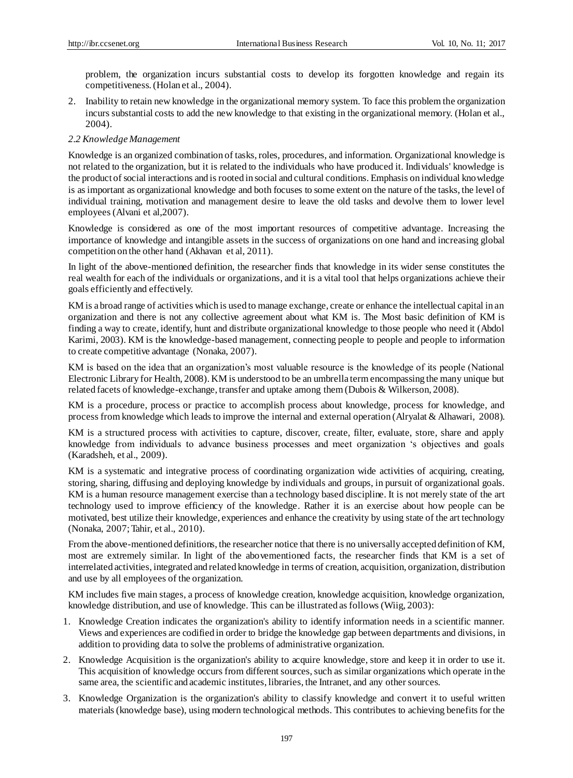problem, the organization incurs substantial costs to develop its forgotten knowledge and regain its competitiveness. (Holan et al., 2004).

2. Inability to retain new knowledge in the organizational memory system. To face this problem the organization incurs substantial costs to add the new knowledge to that existing in the organizational memory. (Holan et al., 2004).

## *2.2 Knowledge Management*

Knowledge is an organized combination of tasks, roles, procedures, and information. Organizational knowledge is not related to the organization, but it is related to the individuals who have produced it. Individuals' knowledge is the product of social interactions and is rooted in social and cultural conditions. Emphasis on individual knowledge is as important as organizational knowledge and both focuses to some extent on the nature of the tasks, the level of individual training, motivation and management desire to leave the old tasks and devolve them to lower level employees (Alvani et al,2007).

Knowledge is considered as one of the most important resources of competitive advantage. Increasing the importance of knowledge and intangible assets in the success of organizations on one hand and increasing global competition on the other hand (Akhavan et al, 2011).

In light of the above-mentioned definition, the researcher finds that knowledge in its wider sense constitutes the real wealth for each of the individuals or organizations, and it is a vital tool that helps organizations achieve their goals efficiently and effectively.

KM is a broad range of activities which is used to manage exchange, create or enhance the intellectual capital in an organization and there is not any collective agreement about what KM is. The Most basic definition of KM is finding a way to create, identify, hunt and distribute organizational knowledge to those people who need it (Abdol Karimi, 2003). KM is the knowledge-based management, connecting people to people and people to information to create competitive advantage (Nonaka, 2007).

KM is based on the idea that an organization's most valuable resource is the knowledge of its people (National Electronic Library for Health, 2008). KM is understood to be an umbrella term encompassing the many unique but related facets of knowledge-exchange, transfer and uptake among them (Dubois & Wilkerson, 2008).

KM is a procedure, process or practice to accomplish process about knowledge, process for knowledge, and process from knowledge which leads to improve the internal and external operation (Alryalat & Alhawari, 2008).

KM is a structured process with activities to capture, discover, create, filter, evaluate, store, share and apply knowledge from individuals to advance business processes and meet organization 's objectives and goals (Karadsheh, et al., 2009).

KM is a systematic and integrative process of coordinating organization wide activities of acquiring, creating, storing, sharing, diffusing and deploying knowledge by individuals and groups, in pursuit of organizational goals. KM is a human resource management exercise than a technology based discipline. It is not merely state of the art technology used to improve efficiency of the knowledge. Rather it is an exercise about how people can be motivated, best utilize their knowledge, experiences and enhance the creativity by using state of the art technology (Nonaka, 2007; Tahir, et al., 2010).

From the above-mentioned definitions, the researcher notice that there is no universally accepted definition of KM, most are extremely similar. In light of the abovementioned facts, the researcher finds that KM is a set of interrelated activities, integrated and related knowledge in terms of creation, acquisition, organization, distribution and use by all employees of the organization.

KM includes five main stages, a process of knowledge creation, knowledge acquisition, knowledge organization, knowledge distribution, and use of knowledge. This can be illustrated as follows (Wiig, 2003):

- 1. Knowledge Creation indicates the organization's ability to identify information needs in a scientific manner. Views and experiences are codified in order to bridge the knowledge gap between departments and divisions, in addition to providing data to solve the problems of administrative organization.
- 2. Knowledge Acquisition is the organization's ability to acquire knowledge, store and keep it in order to use it. This acquisition of knowledge occurs from different sources, such as similar organizations which operate in the same area, the scientific and academic institutes, libraries, the Intranet, and any other sources.
- 3. Knowledge Organization is the organization's ability to classify knowledge and convert it to useful written materials (knowledge base), using modern technological methods. This contributes to achieving benefits for the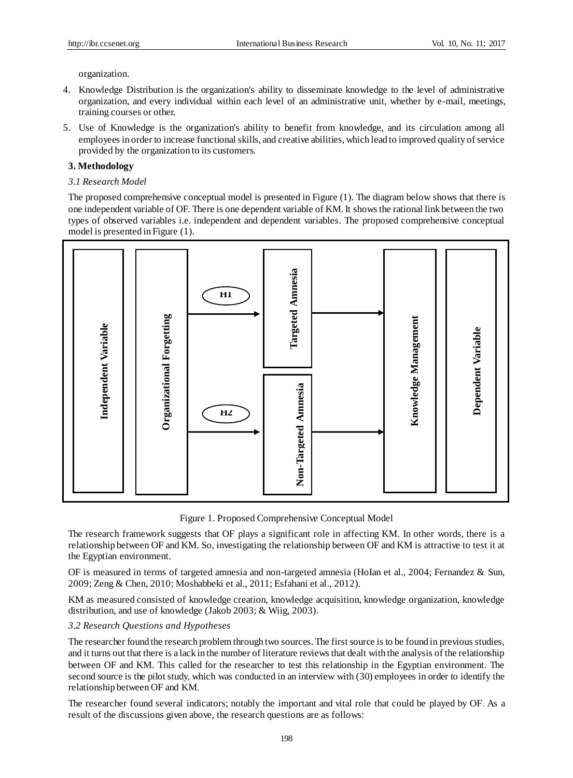organization.

- 4. Knowledge Distribution is the organization's ability to disseminate knowledge to the level of administrative organization, and every individual within each level of an administrative unit, whether by e-mail, meetings, training courses or other.
- 5. Use of Knowledge is the organization's ability to benefit from knowledge, and its circulation among all employees in order to increase functional skills, and creative abilities, which lead to improved quality of service provided by the organization to its customers.

# **3. Methodology**

# *3.1 Research Model*

The proposed comprehensive conceptual model is presented in Figure (1). The diagram below shows that there is one independent variable of OF. There is one dependent variable of KM. It shows the rational link between the two types of observed variables i.e. independent and dependent variables. The proposed comprehensive conceptual model is presented in Figure (1).



Figure 1. Proposed Comprehensive Conceptual Model

The research framework suggests that OF plays a significant role in affecting KM. In other words, there is a relationship between OF and KM. So, investigating the relationship between OF and KM is attractive to test it at the Egyptian environment.

OF is measured in terms of targeted amnesia and non-targeted amnesia (HoIan et al., 2004; Fernandez & Sun, 2009; Zeng & Chen, 2010; Moshabbeki et al., 2011; Esfahani et al., 2012).

KM as measured consisted of knowledge creation, knowledge acquisition, knowledge organization, knowledge distribution, and use of knowledge (Jakob 2003; & Wiig, 2003).

# *3.2 Research Questions and Hypotheses*

The researcher found the research problem through two sources. The first source is to be found in previous studies, and it turns out that there is a lack in the number of literature reviews that dealt with the analysis of the relationship between OF and KM. This called for the researcher to test this relationship in the Egyptian environment. The second source is the pilot study, which was conducted in an interview with (30) employees in order to identify the relationship between OF and KM.

The researcher found several indicators; notably the important and vital role that could be played by OF. As a result of the discussions given above, the research questions are as follows: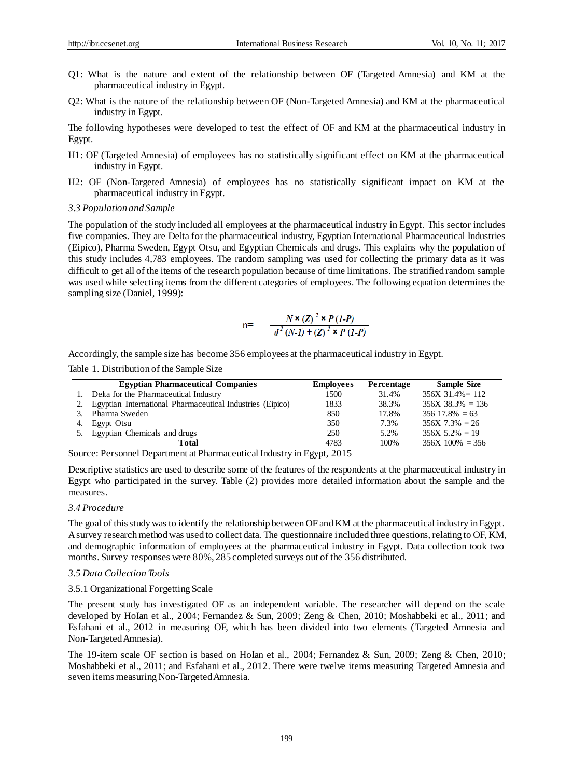- Q1: What is the nature and extent of the relationship between OF (Targeted Amnesia) and KM at the pharmaceutical industry in Egypt.
- Q2: What is the nature of the relationship between OF (Non-Targeted Amnesia) and KM at the pharmaceutical industry in Egypt.

The following hypotheses were developed to test the effect of OF and KM at the pharmaceutical industry in Egypt.

- H1: OF (Targeted Amnesia) of employees has no statistically significant effect on KM at the pharmaceutical industry in Egypt.
- H2: OF (Non-Targeted Amnesia) of employees has no statistically significant impact on KM at the pharmaceutical industry in Egypt.

#### *3.3 Population and Sample*

The population of the study included all employees at the pharmaceutical industry in Egypt. This sector includes five companies. They are Delta for the pharmaceutical industry, Egyptian International Pharmaceutical Industries (Eipico), Pharma Sweden, Egypt Otsu, and Egyptian Chemicals and drugs. This explains why the population of this study includes 4,783 employees. The random sampling was used for collecting the primary data as it was difficult to get all of the items of the research population because of time limitations. The stratified random sample was used while selecting items from the different categories of employees. The following equation determines the sampling size (Daniel, 1999):

$$
n = \frac{N \times (Z)^2 \times P (1-P)}{d^2 (N-1) + (Z)^2 \times P (1-P)}
$$

Accordingly, the sample size has become 356 employees at the pharmaceutical industry in Egypt.

Table 1. Distribution of the Sample Size

| <b>Egyptian Pharmaceutical Companies</b>                     | <b>Employees</b> | Percentage | <b>Sample Size</b>    |
|--------------------------------------------------------------|------------------|------------|-----------------------|
| 1. Delta for the Pharmaceutical Industry                     | 1500-            | 31.4%      | $356X$ 31.4% = 112    |
| 2. Egyptian International Pharmaceutical Industries (Eipico) | 1833             | 38.3%      | $356X$ $38.3\% = 136$ |
| Pharma Sweden                                                | 850              | 17.8%      | $356 \, 17.8\% = 63$  |
| Egypt Otsu                                                   | 350              | 7.3%       | $356X$ 7.3% = 26      |
| 5. Egyptian Chemicals and drugs                              | 250              | 5.2%       | $356X$ 5.2% = 19      |
| Total                                                        | 4783             | 100\%      | $356X$ $100\% = 356$  |

Source: Personnel Department at Pharmaceutical Industry in Egypt, 2015

Descriptive statistics are used to describe some of the features of the respondents at the pharmaceutical industry in Egypt who participated in the survey. Table (2) provides more detailed information about the sample and the measures.

#### *3.4 Procedure*

The goal of this study was to identify the relationship between OF and KM at the pharmaceutical industry in Egypt. A survey research method was used to collect data. The questionnaire included three questions, relating to OF, KM, and demographic information of employees at the pharmaceutical industry in Egypt. Data collection took two months. Survey responses were 80%, 285 completed surveys out of the 356 distributed.

#### *3.5 Data Collection Tools*

#### 3.5.1 Organizational Forgetting Scale

The present study has investigated OF as an independent variable. The researcher will depend on the scale developed by HoIan et al., 2004; Fernandez & Sun, 2009; Zeng & Chen, 2010; Moshabbeki et al., 2011; and Esfahani et al., 2012 in measuring OF, which has been divided into two elements (Targeted Amnesia and Non-Targeted Amnesia).

The 19-item scale OF section is based on HoIan et al., 2004; Fernandez & Sun, 2009; Zeng & Chen, 2010; Moshabbeki et al., 2011; and Esfahani et al., 2012. There were twelve items measuring Targeted Amnesia and seven items measuring Non-Targeted Amnesia.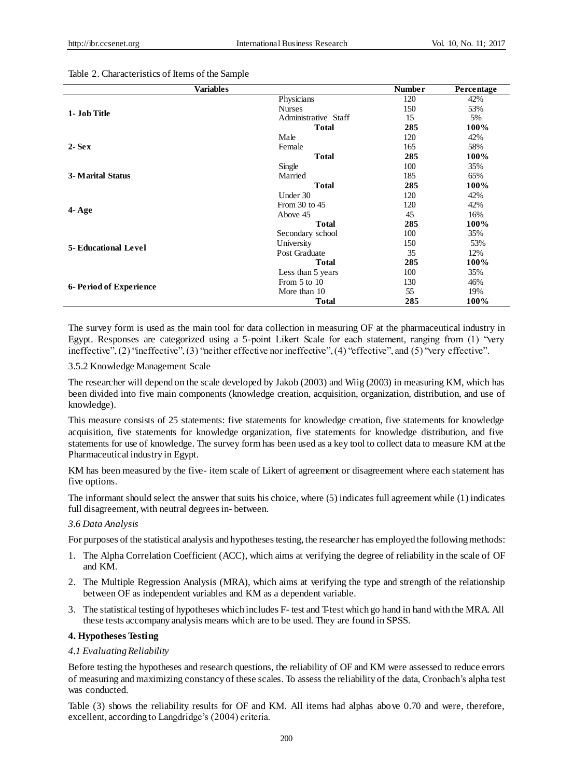| Variables                   |                      | <b>Number</b> | Percentage |
|-----------------------------|----------------------|---------------|------------|
|                             | Physicians           | 120           | 42%        |
| 1- Job Title                | <b>Nurses</b>        | 150           | 53%        |
|                             | Administrative Staff | 15            | 5%         |
|                             | <b>Total</b>         | 285           | 100%       |
|                             | Male                 | 120           | 42%        |
| $2-Sex$                     | Female               | 165           | 58%        |
|                             | <b>Total</b>         | 285           | 100%       |
|                             | Single               | 100           | 35%        |
| 3- Marital Status           | Married              | 185           | 65%        |
|                             | <b>Total</b>         | 285           | 100%       |
|                             | Under 30             | 120           | 42%        |
|                             | From $30$ to $45$    | 120           | 42%        |
| $4 - Age$                   | Above 45             | 45            | 16%        |
|                             | <b>Total</b>         | 285           | 100%       |
|                             | Secondary school     | 100           | 35%        |
| <b>5- Educational Level</b> | University           | 150           | 53%        |
|                             | Post Graduate        | 35            | 12%        |
|                             | <b>Total</b>         | 285           | 100%       |
|                             | Less than 5 years    | 100           | 35%        |
|                             | From $5$ to $10$     | 130           | 46%        |
| 6- Period of Experience     | More than 10         | 55            | 19%        |
|                             | <b>Total</b>         | 285           | 100%       |

#### Table 2. Characteristics of Items of the Sample

The survey form is used as the main tool for data collection in measuring OF at the pharmaceutical industry in Egypt. Responses are categorized using a 5-point Likert Scale for each statement, ranging from (1) "very ineffective", (2) "ineffective", (3) "neither effective nor ineffective", (4) "effective", and (5) "very effective".

#### 3.5.2 Knowledge Management Scale

The researcher will depend on the scale developed by Jakob (2003) and Wiig (2003) in measuring KM, which has been divided into five main components (knowledge creation, acquisition, organization, distribution, and use of knowledge).

This measure consists of 25 statements: five statements for knowledge creation, five statements for knowledge acquisition, five statements for knowledge organization, five statements for knowledge distribution, and five statements for use of knowledge. The survey form has been used as a key tool to collect data to measure KM at the Pharmaceutical industry in Egypt.

KM has been measured by the five- item scale of Likert of agreement or disagreement where each statement has five options.

The informant should select the answer that suits his choice, where (5) indicates full agreement while (1) indicates full disagreement, with neutral degrees in- between.

#### *3.6 Data Analysis*

For purposes of the statistical analysis and hypotheses testing, the researcher has employed the following methods:

- 1. The Alpha Correlation Coefficient (ACC), which aims at verifying the degree of reliability in the scale of OF and KM.
- 2. The Multiple Regression Analysis (MRA), which aims at verifying the type and strength of the relationship between OF as independent variables and KM as a dependent variable.
- 3. The statistical testing of hypotheses which includes F- test and T-test which go hand in hand with the MRA. All these tests accompany analysis means which are to be used. They are found in SPSS.

#### **4. Hypotheses Testing**

#### *4.1 Evaluating Reliability*

Before testing the hypotheses and research questions, the reliability of OF and KM were assessed to reduce errors of measuring and maximizing constancy of these scales. To assess the reliability of the data, Cronbach's alpha test was conducted.

Table (3) shows the reliability results for OF and KM. All items had alphas above 0.70 and were, therefore, excellent, according to Langdridge's (2004) criteria.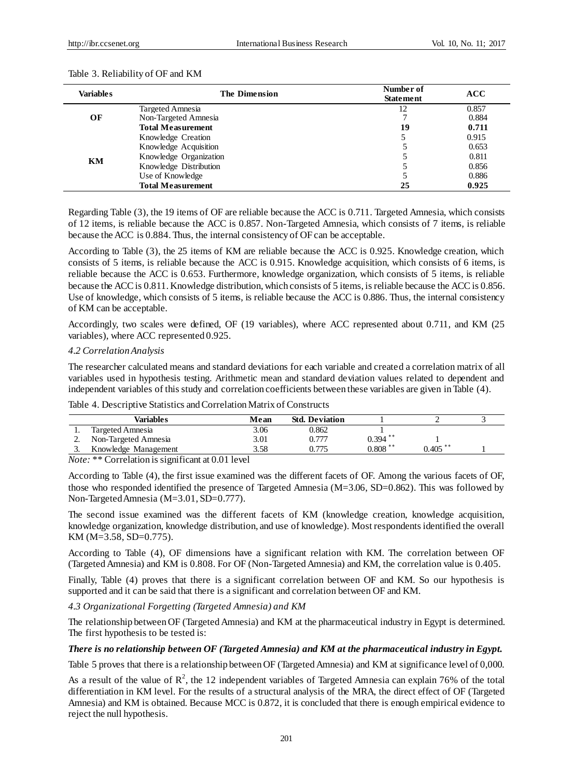| <b>Variables</b> | <b>The Dimension</b>     | Number of<br><b>Statement</b> | ACC   |
|------------------|--------------------------|-------------------------------|-------|
|                  | Targeted Amnesia         |                               | 0.857 |
| OF               | Non-Targeted Amnesia     |                               | 0.884 |
|                  | Total Measurement        | 19                            | 0.711 |
|                  | Knowledge Creation       |                               | 0.915 |
|                  | Knowledge Acquisition    |                               | 0.653 |
| KM               | Knowledge Organization   |                               | 0.811 |
|                  | Knowledge Distribution   |                               | 0.856 |
|                  | Use of Knowledge         |                               | 0.886 |
|                  | <b>Total Measurement</b> | 25                            | 0.925 |

#### Table 3. Reliability of OF and KM

Regarding Table (3), the 19 items of OF are reliable because the ACC is 0.711. Targeted Amnesia, which consists of 12 items, is reliable because the ACC is 0.857. Non-Targeted Amnesia, which consists of 7 items, is reliable because the ACC is 0.884. Thus, the internal consistency of OF can be acceptable.

According to Table (3), the 25 items of KM are reliable because the ACC is 0.925. Knowledge creation, which consists of 5 items, is reliable because the ACC is 0.915. Knowledge acquisition, which consists of 6 items, is reliable because the ACC is 0.653. Furthermore, knowledge organization, which consists of 5 items, is reliable because the ACC is 0.811. Knowledge distribution, which consists of 5 items, is reliable because the ACC is 0.856. Use of knowledge, which consists of 5 items, is reliable because the ACC is 0.886. Thus, the internal consistency of KM can be acceptable.

Accordingly, two scales were defined, OF (19 variables), where ACC represented about 0.711, and KM (25 variables), where ACC represented 0.925.

#### *4.2 Correlation Analysis*

The researcher calculated means and standard deviations for each variable and created a correlation matrix of all variables used in hypothesis testing. Arithmetic mean and standard deviation values related to dependent and independent variables of this study and correlation coefficients between these variables are given in Table (4).

|  |  |  | Table 4. Descriptive Statistics and Correlation Matrix of Constructs |
|--|--|--|----------------------------------------------------------------------|
|--|--|--|----------------------------------------------------------------------|

|          | Variables                                                                               | Mean                                              | <b>Std. Deviation</b> |                       |            |  |
|----------|-----------------------------------------------------------------------------------------|---------------------------------------------------|-----------------------|-----------------------|------------|--|
|          | Targeted Amnesia                                                                        | 3.06                                              | 0.862                 |                       |            |  |
| <u>.</u> | Non-Targeted Amnesia                                                                    | 3.01                                              | $0.77^{-}$            | $0.394$ **            |            |  |
|          | Knowledge Management                                                                    | 3.58                                              |                       | $0.808$ $^{\ast\ast}$ | $0.405$ ** |  |
|          | $\cdot$ $\sim$<br>$\mathbf{v}$ $\mathbf{v}$ $\mathbf{v}$ $\mathbf{v}$ $\mathbf{v}$<br>. | $\cdot$ $\cdot$ $\wedge$ $\wedge$ $\cdot$ $\cdot$ |                       |                       |            |  |

*Note:* \*\* Correlation is significant at 0.01 level

According to Table (4), the first issue examined was the different facets of OF. Among the various facets of OF, those who responded identified the presence of Targeted Amnesia (M=3.06, SD=0.862). This was followed by Non-Targeted Amnesia (M=3.01, SD=0.777).

The second issue examined was the different facets of KM (knowledge creation, knowledge acquisition, knowledge organization, knowledge distribution, and use of knowledge). Most respondents identified the overall KM (M=3.58, SD=0.775).

According to Table (4), OF dimensions have a significant relation with KM. The correlation between OF (Targeted Amnesia) and KM is 0.808. For OF (Non-Targeted Amnesia) and KM, the correlation value is 0.405.

Finally, Table (4) proves that there is a significant correlation between OF and KM. So our hypothesis is supported and it can be said that there is a significant and correlation between OF and KM.

*4.3 Organizational Forgetting (Targeted Amnesia) and KM*

The relationship between OF (Targeted Amnesia) and KM at the pharmaceutical industry in Egypt is determined. The first hypothesis to be tested is:

## *There is no relationship between OF (Targeted Amnesia) and KM at the pharmaceutical industry in Egypt.*

Table 5 proves that there is a relationship between OF (Targeted Amnesia) and KM at significance level of 0,000.

As a result of the value of  $\mathbb{R}^2$ , the 12 independent variables of Targeted Amnesia can explain 76% of the total differentiation in KM level. For the results of a structural analysis of the MRA, the direct effect of OF (Targeted Amnesia) and KM is obtained. Because MCC is 0.872, it is concluded that there is enough empirical evidence to reject the null hypothesis.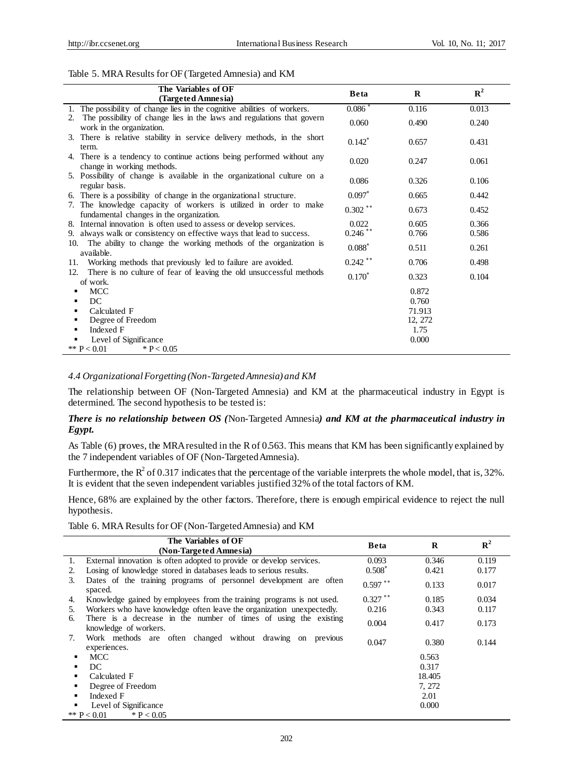#### Table 5. MRA Results for OF (Targeted Amnesia) and KM

| The Variables of OF<br>(Targeted Amnesia)                                                                                    | <b>Beta</b> | $\bf R$                                              | ${\bf R}^2$ |
|------------------------------------------------------------------------------------------------------------------------------|-------------|------------------------------------------------------|-------------|
| 1. The possibility of change lies in the cognitive abilities of workers.                                                     | $0.086*$    | 0.116                                                | 0.013       |
| The possibility of change lies in the laws and regulations that govern<br>2.<br>work in the organization.                    | 0.060       | 0.490                                                | 0.240       |
| 3. There is relative stability in service delivery methods, in the short<br>term.                                            | $0.142*$    | 0.657                                                | 0.431       |
| 4. There is a tendency to continue actions being performed without any<br>change in working methods.                         | 0.020       | 0.247                                                | 0.061       |
| 5. Possibility of change is available in the organizational culture on a<br>regular basis.                                   | 0.086       | 0.326                                                | 0.106       |
| 6. There is a possibility of change in the organizational structure.                                                         | $0.097*$    | 0.665                                                | 0.442       |
| 7. The knowledge capacity of workers is utilized in order to make<br>fundamental changes in the organization.                | $0.302$ **  | 0.673                                                | 0.452       |
| 8. Internal innovation is often used to assess or develop services.                                                          | 0.022       | 0.605                                                | 0.366       |
| 9. always walk or consistency on effective ways that lead to success.                                                        | $0.246$ **  | 0.766                                                | 0.586       |
| 10. The ability to change the working methods of the organization is<br>available.                                           | $0.088*$    | 0.511                                                | 0.261       |
| Working methods that previously led to failure are avoided.<br>11.                                                           | $0.242$ **  | 0.706                                                | 0.498       |
| There is no culture of fear of leaving the old unsuccessful methods<br>12.<br>of work.                                       | $0.170*$    | 0.323                                                | 0.104       |
| <b>MCC</b><br>DC<br>Calculated F<br>Degree of Freedom<br>Indexed F<br>Level of Significance<br>** $P < 0.01$<br>* $P < 0.05$ |             | 0.872<br>0.760<br>71.913<br>12, 272<br>1.75<br>0.000 |             |

#### *4.4 Organizational Forgetting (Non-Targeted Amnesia) and KM*

The relationship between OF (Non-Targeted Amnesia) and KM at the pharmaceutical industry in Egypt is determined. The second hypothesis to be tested is:

## *There is no relationship between OS (*Non-Targeted Amnesia*) and KM at the pharmaceutical industry in Egypt.*

As Table (6) proves, the MRA resulted in the R of 0.563. This means that KM has been significantly explained by the 7 independent variables of OF (Non-Targeted Amnesia).

Furthermore, the  $R^2$  of 0.317 indicates that the percentage of the variable interprets the whole model, that is, 32%. It is evident that the seven independent variables justified 32% of the total factors of KM.

Hence, 68% are explained by the other factors. Therefore, there is enough empirical evidence to reject the null hypothesis.

Table 6. MRA Results for OF (Non-Targeted Amnesia) and KM

|     | The Variables of OF<br>(Non-Targeted Amnesia)                                             | <b>Beta</b> | R      | ${\bf R}^2$ |
|-----|-------------------------------------------------------------------------------------------|-------------|--------|-------------|
|     | External innovation is often adopted to provide or develop services.                      | 0.093       | 0.346  | 0.119       |
| 2.  | Losing of knowledge stored in databases leads to serious results.                         | $0.508*$    | 0.421  | 0.177       |
| 3.  | Dates of the training programs of personnel development are often<br>spaced.              | $0.597**$   | 0.133  | 0.017       |
| 4.  | Knowledge gained by employees from the training programs is not used.                     | $0.327$ **  | 0.185  | 0.034       |
| .5. | Workers who have knowledge often leave the organization unexpectedly.                     | 0.216       | 0.343  | 0.117       |
| 6.  | There is a decrease in the number of times of using the existing<br>knowledge of workers. | 0.004       | 0.417  | 0.173       |
| 7.  | Work methods are often changed without drawing on<br>previous<br>experiences.             | 0.047       | 0.380  | 0.144       |
|     | <b>MCC</b>                                                                                |             | 0.563  |             |
|     | DC.                                                                                       |             | 0.317  |             |
|     | Calculated F                                                                              |             | 18.405 |             |
|     | Degree of Freedom                                                                         |             | 7, 272 |             |
|     | Indexed F                                                                                 |             | 2.01   |             |
|     | Level of Significance                                                                     |             | 0.000  |             |
|     | ** $P < 0.01$<br>$*$ P < 0.05                                                             |             |        |             |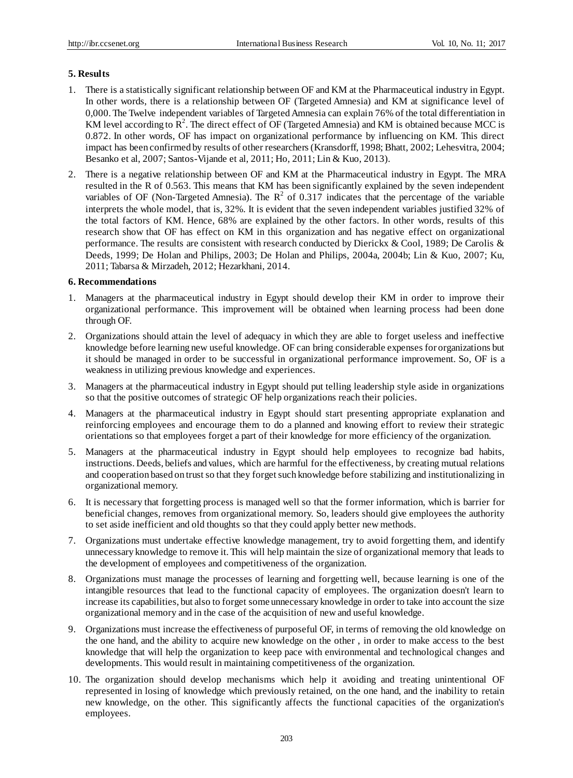# **5. Results**

- 1. There is a statistically significant relationship between OF and KM at the Pharmaceutical industry in Egypt. In other words, there is a relationship between OF (Targeted Amnesia) and KM at significance level of 0,000. The Twelve independent variables of Targeted Amnesia can explain 76% of the total differentiation in KM level according to  $R^2$ . The direct effect of OF (Targeted Amnesia) and KM is obtained because MCC is 0.872. In other words, OF has impact on organizational performance by influencing on KM. This direct impact has been confirmed by results of other researchers (Kransdorff, 1998; Bhatt, 2002; Lehesvitra, 2004; Besanko et al, 2007; Santos-Vijande et al, 2011; Ho, 2011; Lin & Kuo, 2013).
- 2. There is a negative relationship between OF and KM at the Pharmaceutical industry in Egypt. The MRA resulted in the R of 0.563. This means that KM has been significantly explained by the seven independent variables of OF (Non-Targeted Amnesia). The  $R^2$  of 0.317 indicates that the percentage of the variable interprets the whole model, that is, 32%. It is evident that the seven independent variables justified 32% of the total factors of KM. Hence, 68% are explained by the other factors. In other words, results of this research show that OF has effect on KM in this organization and has negative effect on organizational performance. The results are consistent with research conducted by Dierickx & Cool, 1989; De Carolis & Deeds, 1999; De Holan and Philips, 2003; De Holan and Philips, 2004a, 2004b; Lin & Kuo, 2007; Ku, 2011; Tabarsa & Mirzadeh, 2012; Hezarkhani, 2014.

## **6. Recommendations**

- 1. Managers at the pharmaceutical industry in Egypt should develop their KM in order to improve their organizational performance. This improvement will be obtained when learning process had been done through OF.
- 2. Organizations should attain the level of adequacy in which they are able to forget useless and ineffective knowledge before learning new useful knowledge. OF can bring considerable expenses for organizations but it should be managed in order to be successful in organizational performance improvement. So, OF is a weakness in utilizing previous knowledge and experiences.
- 3. Managers at the pharmaceutical industry in Egypt should put telling leadership style aside in organizations so that the positive outcomes of strategic OF help organizations reach their policies.
- 4. Managers at the pharmaceutical industry in Egypt should start presenting appropriate explanation and reinforcing employees and encourage them to do a planned and knowing effort to review their strategic orientations so that employees forget a part of their knowledge for more efficiency of the organization.
- 5. Managers at the pharmaceutical industry in Egypt should help employees to recognize bad habits, instructions. Deeds, beliefs and values, which are harmful for the effectiveness, by creating mutual relations and cooperation based on trust so that they forget such knowledge before stabilizing and institutionalizing in organizational memory.
- 6. It is necessary that forgetting process is managed well so that the former information, which is barrier for beneficial changes, removes from organizational memory. So, leaders should give employees the authority to set aside inefficient and old thoughts so that they could apply better new methods.
- 7. Organizations must undertake effective knowledge management, try to avoid forgetting them, and identify unnecessary knowledge to remove it. This will help maintain the size of organizational memory that leads to the development of employees and competitiveness of the organization.
- 8. Organizations must manage the processes of learning and forgetting well, because learning is one of the intangible resources that lead to the functional capacity of employees. The organization doesn't learn to increase its capabilities, but also to forget some unnecessary knowledge in order to take into account the size organizational memory and in the case of the acquisition of new and useful knowledge.
- 9. Organizations must increase the effectiveness of purposeful OF, in terms of removing the old knowledge on the one hand, and the ability to acquire new knowledge on the other , in order to make access to the best knowledge that will help the organization to keep pace with environmental and technological changes and developments. This would result in maintaining competitiveness of the organization.
- 10. The organization should develop mechanisms which help it avoiding and treating unintentional OF represented in losing of knowledge which previously retained, on the one hand, and the inability to retain new knowledge, on the other. This significantly affects the functional capacities of the organization's employees.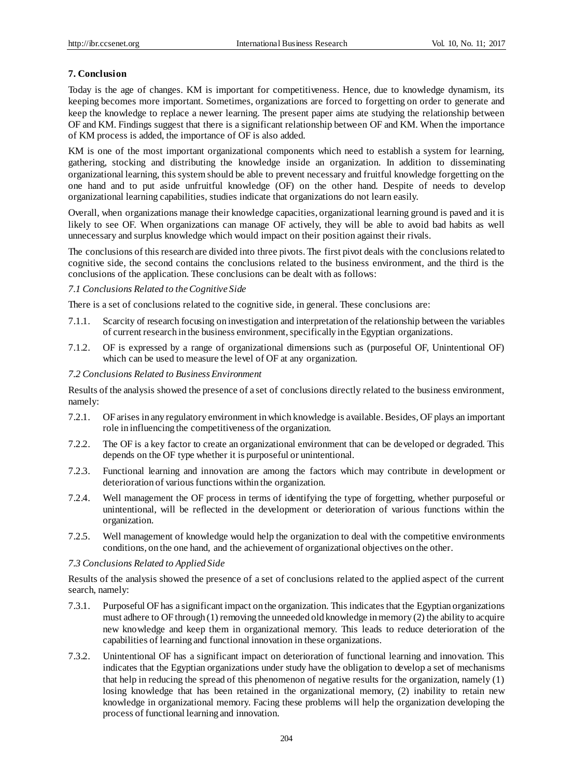# **7. Conclusion**

Today is the age of changes. KM is important for competitiveness. Hence, due to knowledge dynamism, its keeping becomes more important. Sometimes, organizations are forced to forgetting on order to generate and keep the knowledge to replace a newer learning. The present paper aims ate studying the relationship between OF and KM. Findings suggest that there is a significant relationship between OF and KM. When the importance of KM process is added, the importance of OF is also added.

KM is one of the most important organizational components which need to establish a system for learning, gathering, stocking and distributing the knowledge inside an organization. In addition to disseminating organizational learning, this system should be able to prevent necessary and fruitful knowledge forgetting on the one hand and to put aside unfruitful knowledge (OF) on the other hand. Despite of needs to develop organizational learning capabilities, studies indicate that organizations do not learn easily.

Overall, when organizations manage their knowledge capacities, organizational learning ground is paved and it is likely to see OF. When organizations can manage OF actively, they will be able to avoid bad habits as well unnecessary and surplus knowledge which would impact on their position against their rivals.

The conclusions of this research are divided into three pivots. The first pivot deals with the conclusions related to cognitive side, the second contains the conclusions related to the business environment, and the third is the conclusions of the application. These conclusions can be dealt with as follows:

## *7.1 Conclusions Related to the Cognitive Side*

There is a set of conclusions related to the cognitive side, in general. These conclusions are:

- 7.1.1. Scarcity of research focusing on investigation and interpretation of the relationship between the variables of current research in the business environment, specifically in the Egyptian organizations.
- 7.1.2. OF is expressed by a range of organizational dimensions such as (purposeful OF, Unintentional OF) which can be used to measure the level of OF at any organization.

## *7.2 Conclusions Related to Business Environment*

Results of the analysis showed the presence of a set of conclusions directly related to the business environment, namely:

- 7.2.1. OF arises in any regulatory environment in which knowledge is available. Besides, OF plays an important role in influencing the competitiveness of the organization.
- 7.2.2. The OF is a key factor to create an organizational environment that can be developed or degraded. This depends on the OF type whether it is purposeful or unintentional.
- 7.2.3. Functional learning and innovation are among the factors which may contribute in development or deterioration of various functions within the organization.
- 7.2.4. Well management the OF process in terms of identifying the type of forgetting, whether purposeful or unintentional, will be reflected in the development or deterioration of various functions within the organization.
- 7.2.5. Well management of knowledge would help the organization to deal with the competitive environments conditions, on the one hand, and the achievement of organizational objectives on the other.

#### *7.3 Conclusions Related to Applied Side*

Results of the analysis showed the presence of a set of conclusions related to the applied aspect of the current search, namely:

- 7.3.1. Purposeful OF has a significant impact on the organization. This indicates that the Egyptian organizations must adhere to OF through (1) removing the unneeded old knowledge in memory (2) the ability to acquire new knowledge and keep them in organizational memory. This leads to reduce deterioration of the capabilities of learning and functional innovation in these organizations.
- 7.3.2. Unintentional OF has a significant impact on deterioration of functional learning and innovation. This indicates that the Egyptian organizations under study have the obligation to develop a set of mechanisms that help in reducing the spread of this phenomenon of negative results for the organization, namely (1) losing knowledge that has been retained in the organizational memory, (2) inability to retain new knowledge in organizational memory. Facing these problems will help the organization developing the process of functional learning and innovation.